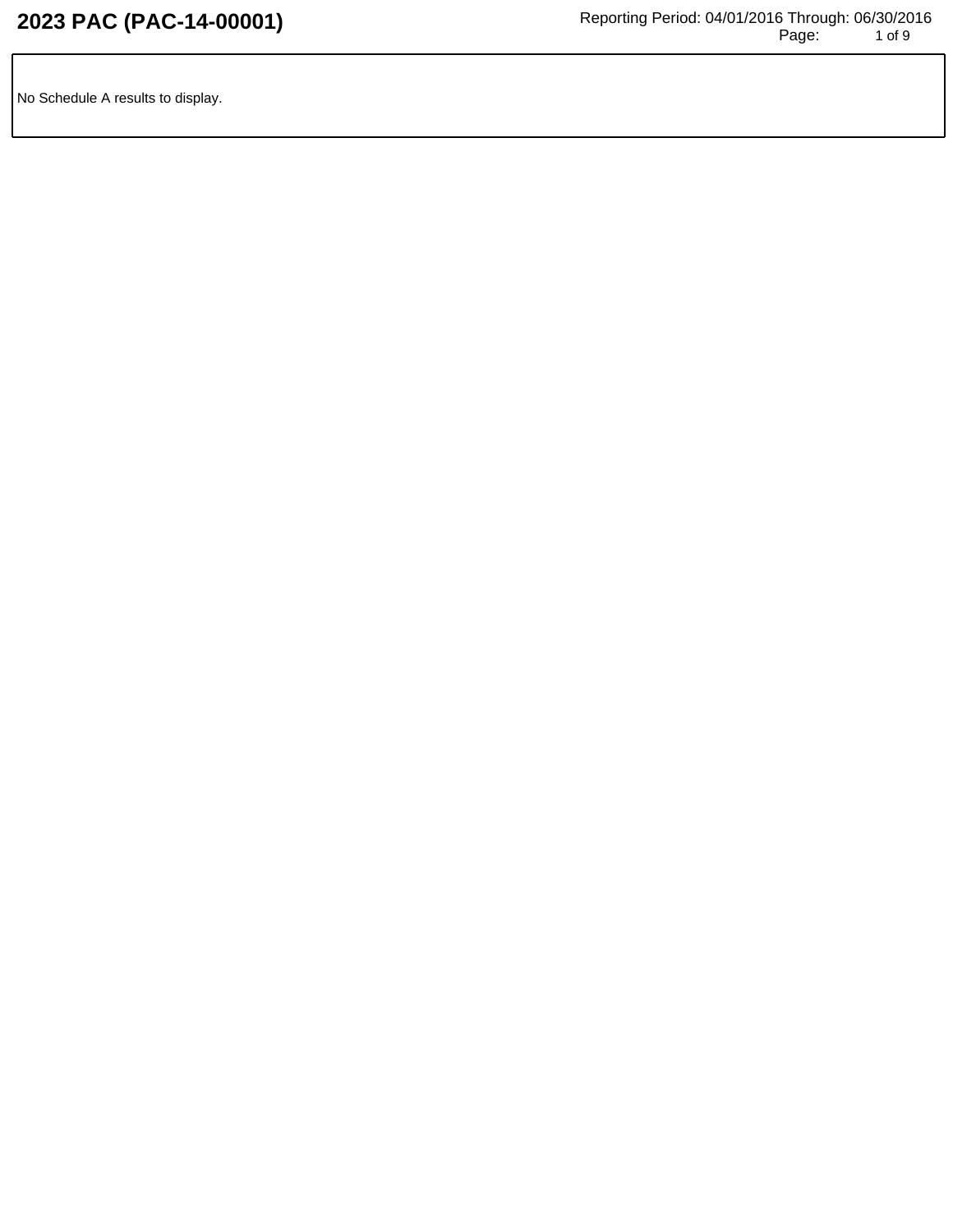No Schedule A results to display.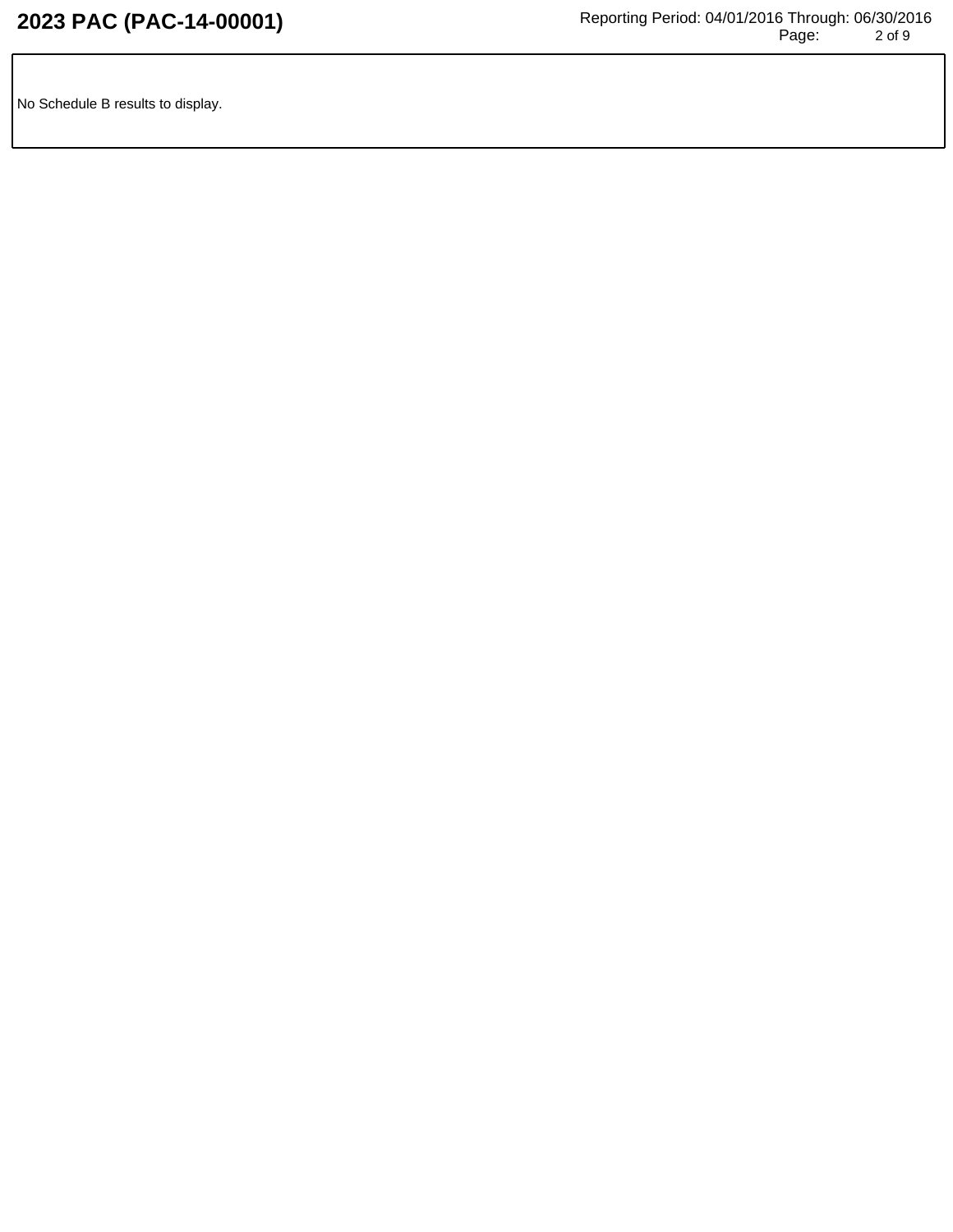No Schedule B results to display.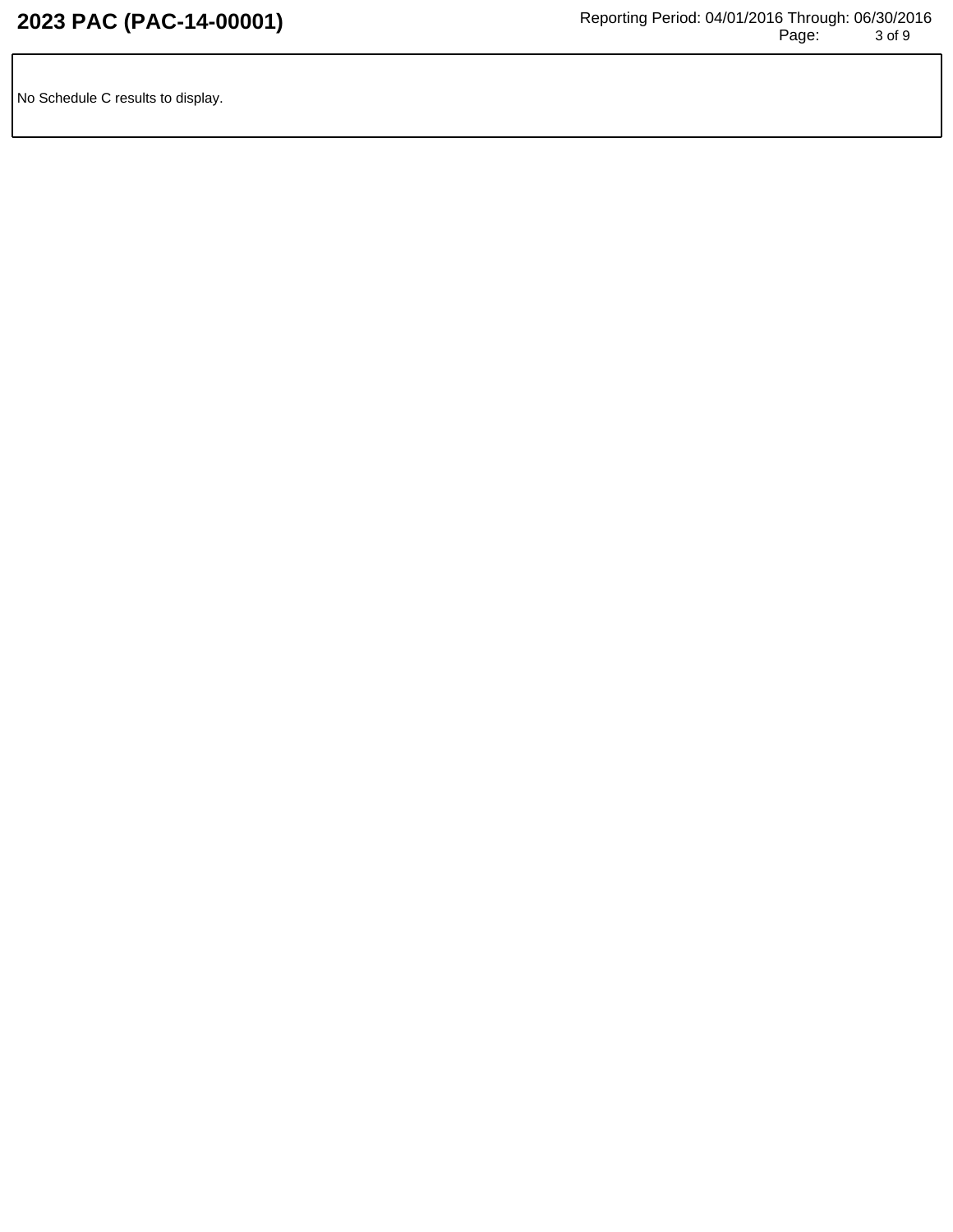No Schedule C results to display.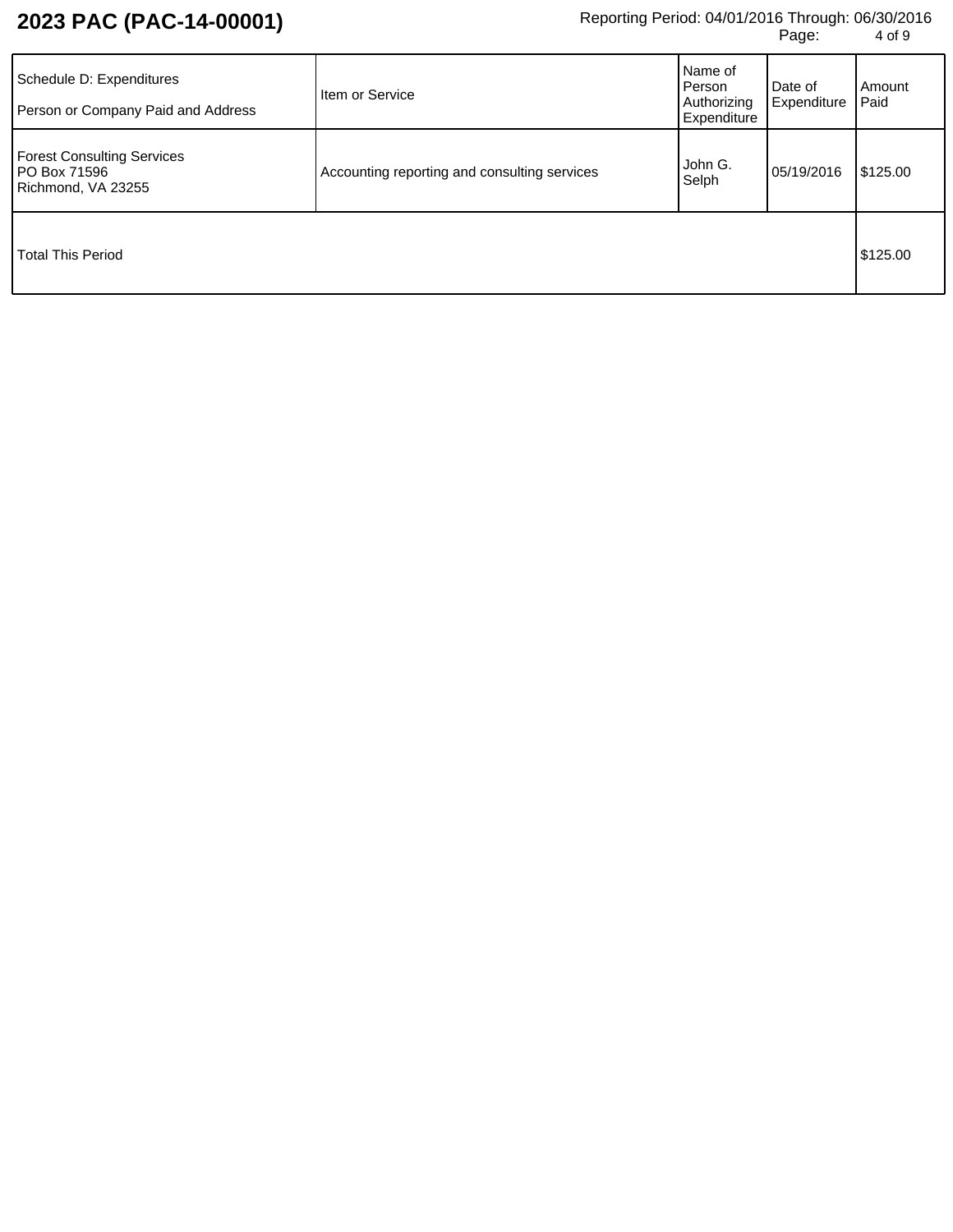## **2023 PAC (PAC-14-00001)** Reporting Period: 04/01/2016 Through: 06/30/2016 Page: 4 of 9

| Schedule D: Expenditures<br>Person or Company Paid and Address                 | Item or Service                              | Name of<br>I Person<br>Authorizing<br>Expenditure | Date of<br>Expenditure | Amount<br>Paid |
|--------------------------------------------------------------------------------|----------------------------------------------|---------------------------------------------------|------------------------|----------------|
| <b>Forest Consulting Services</b><br><b>PO Box 71596</b><br>Richmond, VA 23255 | Accounting reporting and consulting services | John G.<br>Selph                                  | 05/19/2016             | \$125.00       |
| <b>Total This Period</b>                                                       |                                              |                                                   |                        | \$125.00       |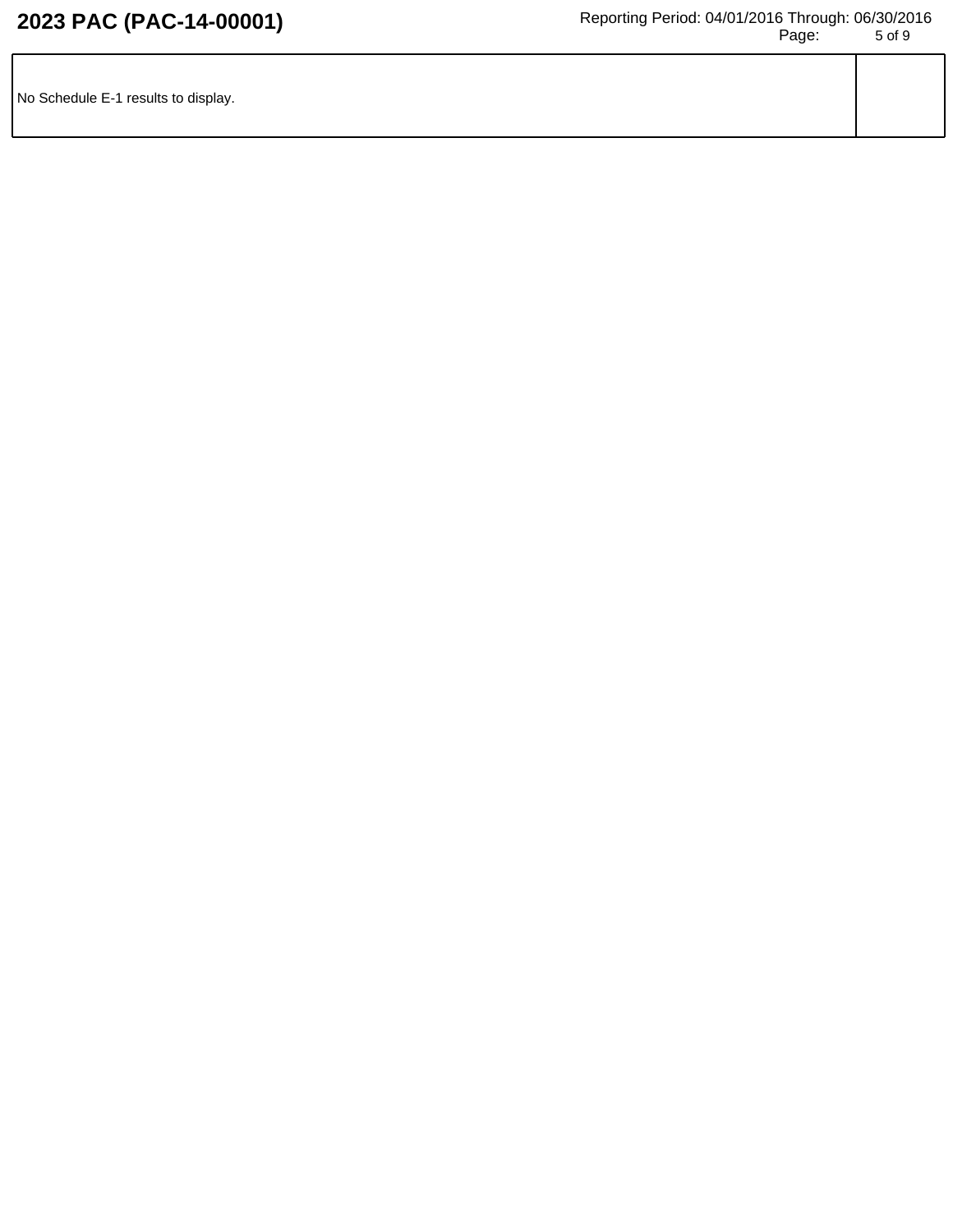| No Schedule E-1 results to display. |  |
|-------------------------------------|--|
|                                     |  |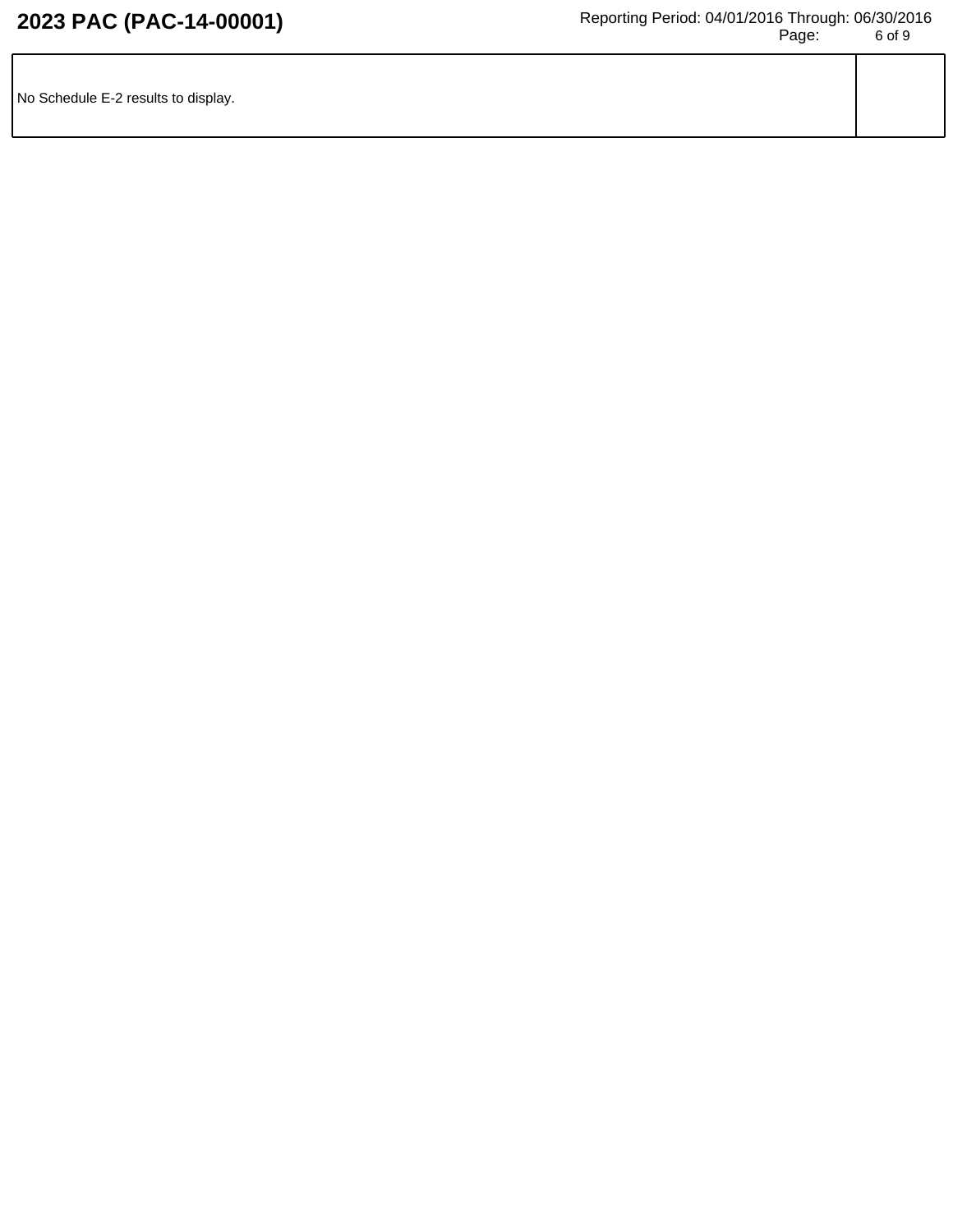| No Schedule E-2 results to display. |  |
|-------------------------------------|--|
|                                     |  |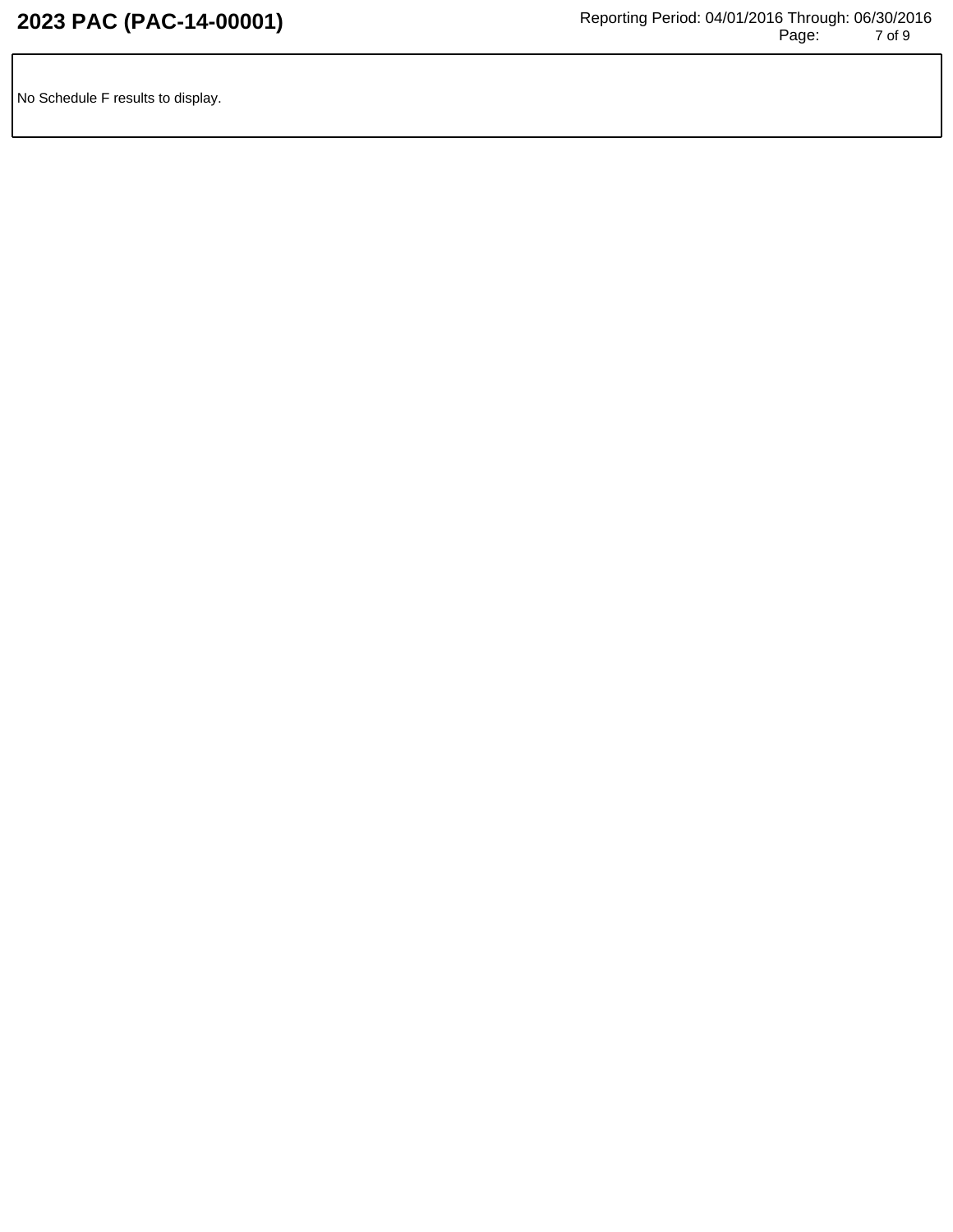No Schedule F results to display.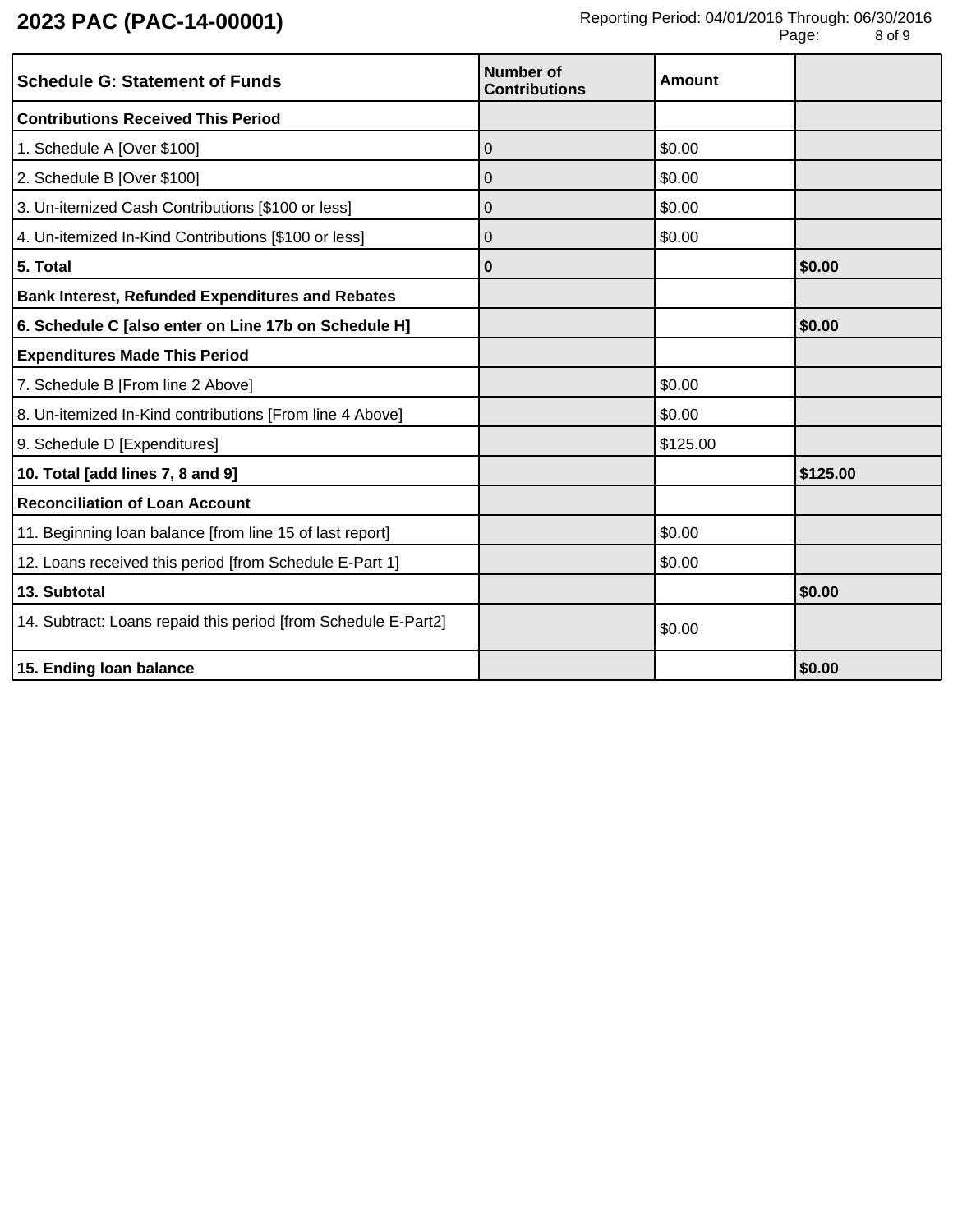| <b>Schedule G: Statement of Funds</b>                          | Number of<br><b>Contributions</b> | <b>Amount</b> |          |
|----------------------------------------------------------------|-----------------------------------|---------------|----------|
| <b>Contributions Received This Period</b>                      |                                   |               |          |
| 1. Schedule A [Over \$100]                                     | 0                                 | \$0.00        |          |
| 2. Schedule B [Over \$100]                                     | 0                                 | \$0.00        |          |
| 3. Un-itemized Cash Contributions [\$100 or less]              | 0                                 | \$0.00        |          |
| 4. Un-itemized In-Kind Contributions [\$100 or less]           | 0                                 | \$0.00        |          |
| 5. Total                                                       | 0                                 |               | \$0.00   |
| <b>Bank Interest, Refunded Expenditures and Rebates</b>        |                                   |               |          |
| 6. Schedule C [also enter on Line 17b on Schedule H]           |                                   |               | \$0.00   |
| <b>Expenditures Made This Period</b>                           |                                   |               |          |
| 7. Schedule B [From line 2 Above]                              |                                   | \$0.00        |          |
| 8. Un-itemized In-Kind contributions [From line 4 Above]       |                                   | \$0.00        |          |
| 9. Schedule D [Expenditures]                                   |                                   | \$125.00      |          |
| 10. Total [add lines 7, 8 and 9]                               |                                   |               | \$125.00 |
| <b>Reconciliation of Loan Account</b>                          |                                   |               |          |
| 11. Beginning loan balance [from line 15 of last report]       |                                   | \$0.00        |          |
| 12. Loans received this period [from Schedule E-Part 1]        |                                   | \$0.00        |          |
| 13. Subtotal                                                   |                                   |               | \$0.00   |
| 14. Subtract: Loans repaid this period [from Schedule E-Part2] |                                   | \$0.00        |          |
| 15. Ending loan balance                                        |                                   |               | \$0.00   |